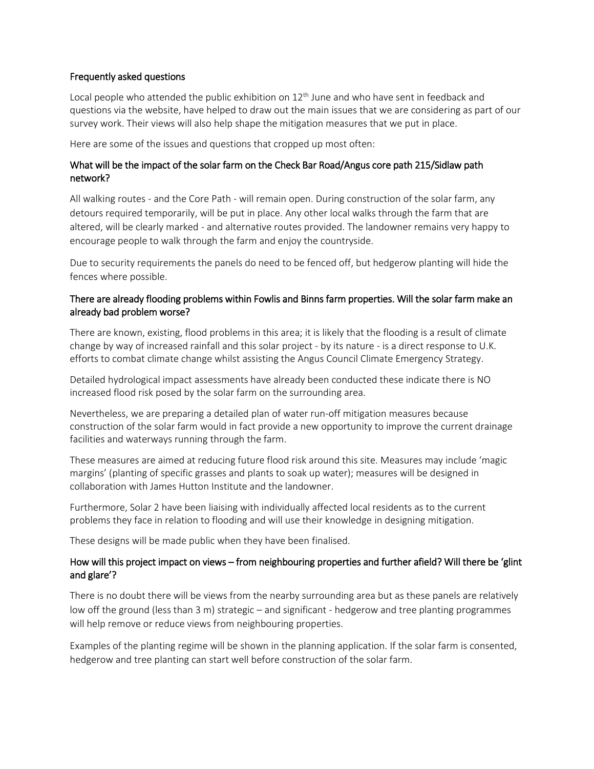#### Frequently asked questions

Local people who attended the public exhibition on  $12<sup>th</sup>$  June and who have sent in feedback and questions via the website, have helped to draw out the main issues that we are considering as part of our survey work. Their views will also help shape the mitigation measures that we put in place.

Here are some of the issues and questions that cropped up most often:

## What will be the impact of the solar farm on the Check Bar Road/Angus core path 215/Sidlaw path network?

All walking routes - and the Core Path - will remain open. During construction of the solar farm, any detours required temporarily, will be put in place. Any other local walks through the farm that are altered, will be clearly marked - and alternative routes provided. The landowner remains very happy to encourage people to walk through the farm and enjoy the countryside.

Due to security requirements the panels do need to be fenced off, but hedgerow planting will hide the fences where possible.

# There are already flooding problems within Fowlis and Binns farm properties. Will the solar farm make an already bad problem worse?

There are known, existing, flood problems in this area; it is likely that the flooding is a result of climate change by way of increased rainfall and this solar project - by its nature - is a direct response to U.K. efforts to combat climate change whilst assisting the Angus Council Climate Emergency Strategy.

Detailed hydrological impact assessments have already been conducted these indicate there is NO increased flood risk posed by the solar farm on the surrounding area.

Nevertheless, we are preparing a detailed plan of water run-off mitigation measures because construction of the solar farm would in fact provide a new opportunity to improve the current drainage facilities and waterways running through the farm.

These measures are aimed at reducing future flood risk around this site. Measures may include 'magic margins' (planting of specific grasses and plants to soak up water); measures will be designed in collaboration with James Hutton Institute and the landowner.

Furthermore, Solar 2 have been liaising with individually affected local residents as to the current problems they face in relation to flooding and will use their knowledge in designing mitigation.

These designs will be made public when they have been finalised.

## How will this project impact on views – from neighbouring properties and further afield? Will there be 'glint and glare'?

There is no doubt there will be views from the nearby surrounding area but as these panels are relatively low off the ground (less than 3 m) strategic – and significant - hedgerow and tree planting programmes will help remove or reduce views from neighbouring properties.

Examples of the planting regime will be shown in the planning application. If the solar farm is consented, hedgerow and tree planting can start well before construction of the solar farm.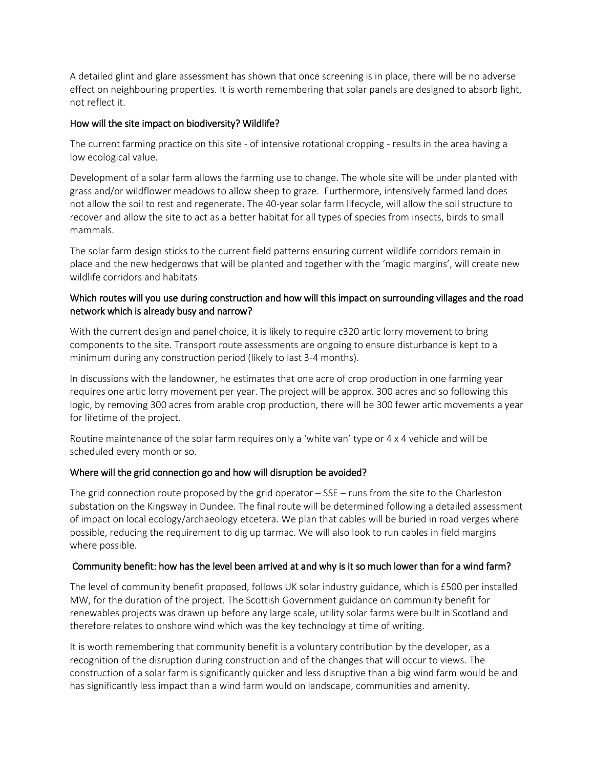A detailed glint and glare assessment has shown that once screening is in place, there will be no adverse effect on neighbouring properties. It is worth remembering that solar panels are designed to absorb light, not reflect it.

### How will the site impact on biodiversity? Wildlife?

The current farming practice on this site - of intensive rotational cropping - results in the area having a low ecological value.

Development of a solar farm allows the farming use to change. The whole site will be under planted with grass and/or wildflower meadows to allow sheep to graze. Furthermore, intensively farmed land does not allow the soil to rest and regenerate. The 40-year solar farm lifecycle, will allow the soil structure to recover and allow the site to act as a better habitat for all types of species from insects, birds to small mammals.

The solar farm design sticks to the current field patterns ensuring current wildlife corridors remain in place and the new hedgerows that will be planted and together with the 'magic margins', will create new wildlife corridors and habitats

# Which routes will you use during construction and how will this impact on surrounding villages and the road network which is already busy and narrow?

With the current design and panel choice, it is likely to require c320 artic lorry movement to bring components to the site. Transport route assessments are ongoing to ensure disturbance is kept to a minimum during any construction period (likely to last 3-4 months).

In discussions with the landowner, he estimates that one acre of crop production in one farming year requires one artic lorry movement per year. The project will be approx. 300 acres and so following this logic, by removing 300 acres from arable crop production, there will be 300 fewer artic movements a year for lifetime of the project.

Routine maintenance of the solar farm requires only a 'white van' type or 4 x 4 vehicle and will be scheduled every month or so.

## Where will the grid connection go and how will disruption be avoided?

The grid connection route proposed by the grid operator  $-$  SSE  $-$  runs from the site to the Charleston substation on the Kingsway in Dundee. The final route will be determined following a detailed assessment of impact on local ecology/archaeology etcetera. We plan that cables will be buried in road verges where possible, reducing the requirement to dig up tarmac. We will also look to run cables in field margins where possible.

## Community benefit: how has the level been arrived at and why is it so much lower than for a wind farm?

The level of community benefit proposed, follows UK solar industry guidance, which is £500 per installed MW, for the duration of the project. The Scottish Government guidance on community benefit for renewables projects was drawn up before any large scale, utility solar farms were built in Scotland and therefore relates to onshore wind which was the key technology at time of writing.

It is worth remembering that community benefit is a voluntary contribution by the developer, as a recognition of the disruption during construction and of the changes that will occur to views. The construction of a solar farm is significantly quicker and less disruptive than a big wind farm would be and has significantly less impact than a wind farm would on landscape, communities and amenity.